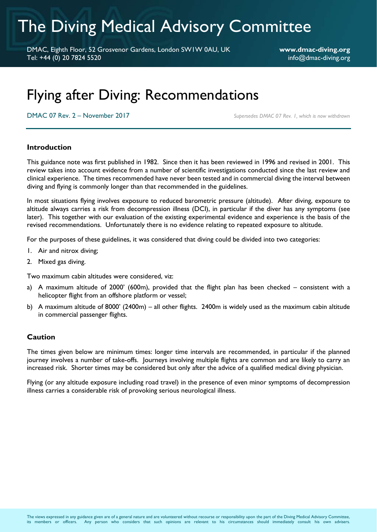# The Diving Medical Advisory Committee

DMAC, Eighth Floor, 52 Grosvenor Gardens, London SW1W 0AU, UK **www.dmac-diving.org** Tel: +44 (0) 20 7824 5520 info@dmac-diving.org

## Flying after Diving: Recommendations

DMAC 07 Rev. 2 – November 2017 *Supersedes DMAC 07 Rev. 1, which is now withdrawn*

#### **Introduction**

This guidance note was first published in 1982. Since then it has been reviewed in 1996 and revised in 2001. This review takes into account evidence from a number of scientific investigations conducted since the last review and clinical experience. The times recommended have never been tested and in commercial diving the interval between diving and flying is commonly longer than that recommended in the guidelines.

In most situations flying involves exposure to reduced barometric pressure (altitude). After diving, exposure to altitude always carries a risk from decompression illness (DCI), in particular if the diver has any symptoms (see later). This together with our evaluation of the existing experimental evidence and experience is the basis of the revised recommendations. Unfortunately there is no evidence relating to repeated exposure to altitude.

For the purposes of these guidelines, it was considered that diving could be divided into two categories:

- 1. Air and nitrox diving;
- 2. Mixed gas diving.

Two maximum cabin altitudes were considered, viz:

- a) A maximum altitude of 2000' (600m), provided that the flight plan has been checked consistent with a helicopter flight from an offshore platform or vessel;
- b) A maximum altitude of 8000' (2400m) all other flights. 2400m is widely used as the maximum cabin altitude in commercial passenger flights.

#### **Caution**

The times given below are minimum times: longer time intervals are recommended, in particular if the planned journey involves a number of take-offs. Journeys involving multiple flights are common and are likely to carry an increased risk. Shorter times may be considered but only after the advice of a qualified medical diving physician.

Flying (or any altitude exposure including road travel) in the presence of even minor symptoms of decompression illness carries a considerable risk of provoking serious neurological illness.